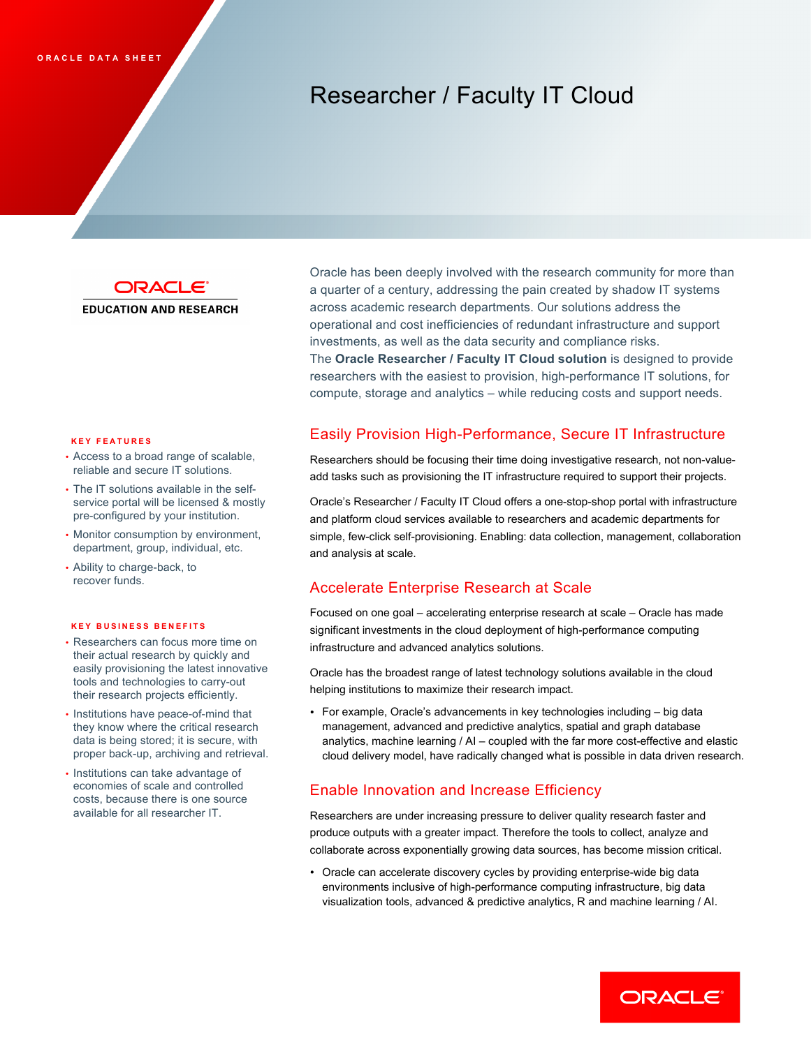# Researcher / Faculty IT Cloud



**EDUCATION AND RESEARCH** 

### **KEY FEATURES**

- • Access to a broad range of scalable, reliable and secure IT solutions.
- service portal will be licensed & mostly pre-configured by your institution. • The IT solutions available in the self-
- • Monitor consumption by environment, department, group, individual, etc.
- • Ability to charge-back, to recover funds.

### **KEY BUSINESS BENEFITS**

- • Researchers can focus more time on their actual research by quickly and easily provisioning the latest innovative tools and technologies to carry-out their research projects efficiently.
- • Institutions have peace-of-mind that data is being stored; it is secure, with proper back-up, archiving and retrieval. they know where the critical research
- economies of scale and controlled costs, because there is one source available for all researcher IT. • Institutions can take advantage of

 Oracle has been deeply involved with the research community for more than a quarter of a century, addressing the pain created by shadow IT systems across academic research departments. Our solutions address the operational and cost inefficiencies of redundant infrastructure and support investments, as well as the data security and compliance risks.  The **Oracle Researcher / Faculty IT Cloud solution** is designed to provide researchers with the easiest to provision, high-performance IT solutions, for compute, storage and analytics – while reducing costs and support needs.

# Easily Provision High-Performance, Secure IT Infrastructure

 Researchers should be focusing their time doing investigative research, not non-value-add tasks such as provisioning the IT infrastructure required to support their projects.

 Oracle's Researcher / Faculty IT Cloud offers a one-stop-shop portal with infrastructure and platform cloud services available to researchers and academic departments for simple, few-click self-provisioning. Enabling: data collection, management, collaboration and analysis at scale.

## Accelerate Enterprise Research at Scale

 Focused on one goal – accelerating enterprise research at scale – Oracle has made significant investments in the cloud deployment of high-performance computing infrastructure and advanced analytics solutions.

 Oracle has the broadest range of latest technology solutions available in the cloud helping institutions to maximize their research impact.

 • For example, Oracle's advancements in key technologies including – big data management, advanced and predictive analytics, spatial and graph database analytics, machine learning / AI – coupled with the far more cost-effective and elastic cloud delivery model, have radically changed what is possible in data driven research.

### Enable Innovation and Increase Efficiency

 Researchers are under increasing pressure to deliver quality research faster and produce outputs with a greater impact. Therefore the tools to collect, analyze and collaborate across exponentially growing data sources, has become mission critical.

 • Oracle can accelerate discovery cycles by providing enterprise-wide big data environments inclusive of high-performance computing infrastructure, big data visualization tools, advanced & predictive analytics, R and machine learning / AI.